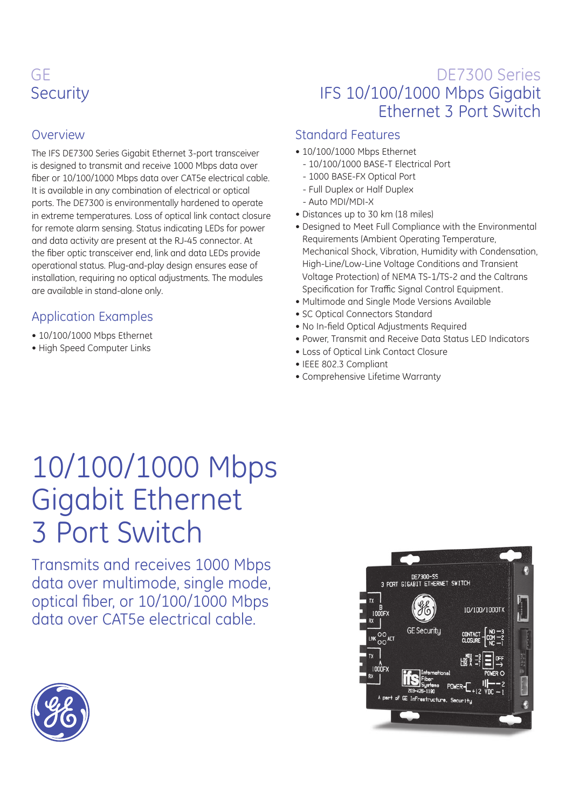# GE **Security**

The IFS DE7300 Series Gigabit Ethernet 3-port transceiver is designed to transmit and receive 1000 Mbps data over fiber or 10/100/1000 Mbps data over CAT5e electrical cable. It is available in any combination of electrical or optical ports. The DE7300 is environmentally hardened to operate in extreme temperatures. Loss of optical link contact closure for remote alarm sensing. Status indicating LEDs for power and data activity are present at the RJ-45 connector. At the fiber optic transceiver end, link and data LEDs provide operational status. Plug-and-play design ensures ease of installation, requiring no optical adjustments. The modules are available in stand-alone only.

### Application Examples

- 10/100/1000 Mbps Ethernet
- High Speed Computer Links

## DE7300 Series IFS 10/100/1000 Mbps Gigabit Ethernet 3 Port Switch

### Overview **Standard Features**

- 10/100/1000 Mbps Ethernet
	- 10/100/1000 BASE-T Electrical Port
	- 1000 BASE-FX Optical Port
	- Full Duplex or Half Duplex - Auto MDI/MDI-X
- Distances up to 30 km (18 miles)
- Designed to Meet Full Compliance with the Environmental Requirements (Ambient Operating Temperature, Mechanical Shock, Vibration, Humidity with Condensation, High-Line/Low-Line Voltage Conditions and Transient Voltage Protection) of NEMA TS-1/TS-2 and the Caltrans Specification for Traffic Signal Control Equipment.
- Multimode and Single Mode Versions Available
- SC Optical Connectors Standard
- No In-field Optical Adjustments Required
- Power, Transmit and Receive Data Status LED Indicators
- Loss of Optical Link Contact Closure
- IEEE 802.3 Compliant
- Comprehensive Lifetime Warranty

# 10/100/1000 Mbps Gigabit Ethernet 3 Port Switch

Transmits and receives 1000 Mbps data over multimode, single mode, optical fiber, or 10/100/1000 Mbps data over CAT5e electrical cable.